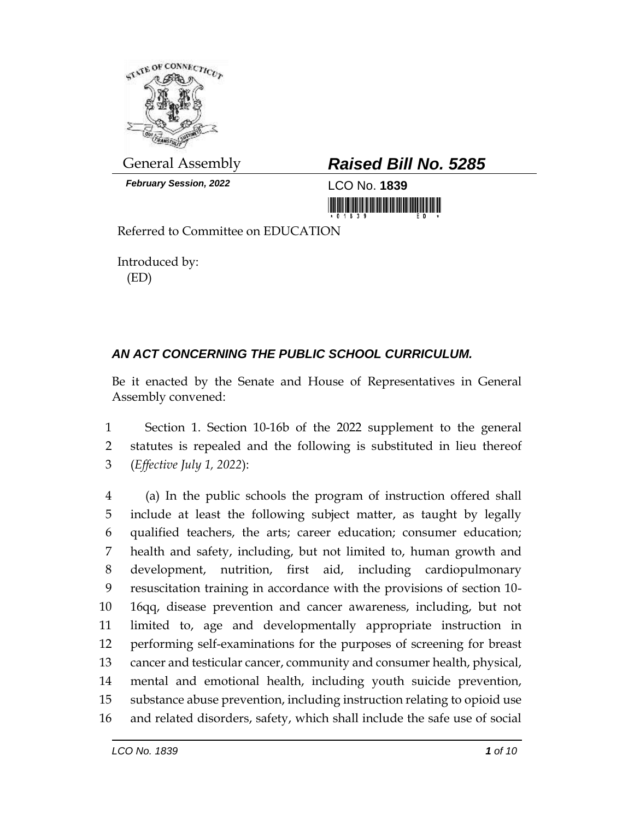

*February Session, 2022* LCO No. **1839**

## General Assembly *Raised Bill No. 5285*

<u> Harrison (Harrison (Harrison (Harrison (Harrison (Harrison (Harrison (Harrison (Harrison (Harrison (Harrison (</u>

Referred to Committee on EDUCATION

Introduced by: (ED)

## *AN ACT CONCERNING THE PUBLIC SCHOOL CURRICULUM.*

Be it enacted by the Senate and House of Representatives in General Assembly convened:

 Section 1. Section 10-16b of the 2022 supplement to the general statutes is repealed and the following is substituted in lieu thereof (*Effective July 1, 2022*):

 (a) In the public schools the program of instruction offered shall include at least the following subject matter, as taught by legally qualified teachers, the arts; career education; consumer education; health and safety, including, but not limited to, human growth and development, nutrition, first aid, including cardiopulmonary resuscitation training in accordance with the provisions of section 10- 16qq, disease prevention and cancer awareness, including, but not limited to, age and developmentally appropriate instruction in performing self-examinations for the purposes of screening for breast cancer and testicular cancer, community and consumer health, physical, mental and emotional health, including youth suicide prevention, substance abuse prevention, including instruction relating to opioid use and related disorders, safety, which shall include the safe use of social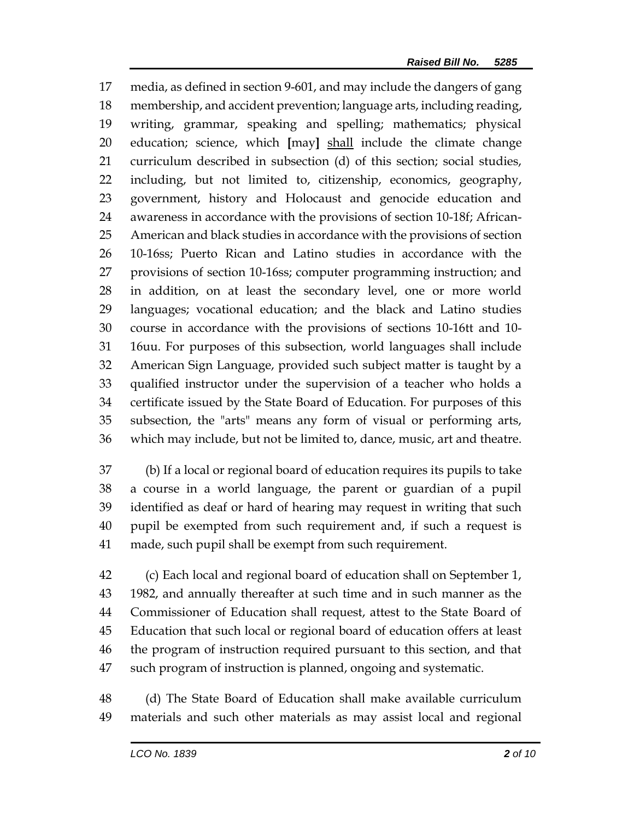media, as defined in section 9-601, and may include the dangers of gang membership, and accident prevention; language arts, including reading, writing, grammar, speaking and spelling; mathematics; physical education; science, which **[**may**]** shall include the climate change curriculum described in subsection (d) of this section; social studies, including, but not limited to, citizenship, economics, geography, government, history and Holocaust and genocide education and awareness in accordance with the provisions of section 10-18f; African- American and black studies in accordance with the provisions of section 10-16ss; Puerto Rican and Latino studies in accordance with the provisions of section 10-16ss; computer programming instruction; and in addition, on at least the secondary level, one or more world languages; vocational education; and the black and Latino studies course in accordance with the provisions of sections 10-16tt and 10- 16uu. For purposes of this subsection, world languages shall include American Sign Language, provided such subject matter is taught by a qualified instructor under the supervision of a teacher who holds a certificate issued by the State Board of Education. For purposes of this subsection, the "arts" means any form of visual or performing arts, which may include, but not be limited to, dance, music, art and theatre.

 (b) If a local or regional board of education requires its pupils to take a course in a world language, the parent or guardian of a pupil identified as deaf or hard of hearing may request in writing that such pupil be exempted from such requirement and, if such a request is made, such pupil shall be exempt from such requirement.

 (c) Each local and regional board of education shall on September 1, 1982, and annually thereafter at such time and in such manner as the Commissioner of Education shall request, attest to the State Board of Education that such local or regional board of education offers at least the program of instruction required pursuant to this section, and that such program of instruction is planned, ongoing and systematic.

 (d) The State Board of Education shall make available curriculum materials and such other materials as may assist local and regional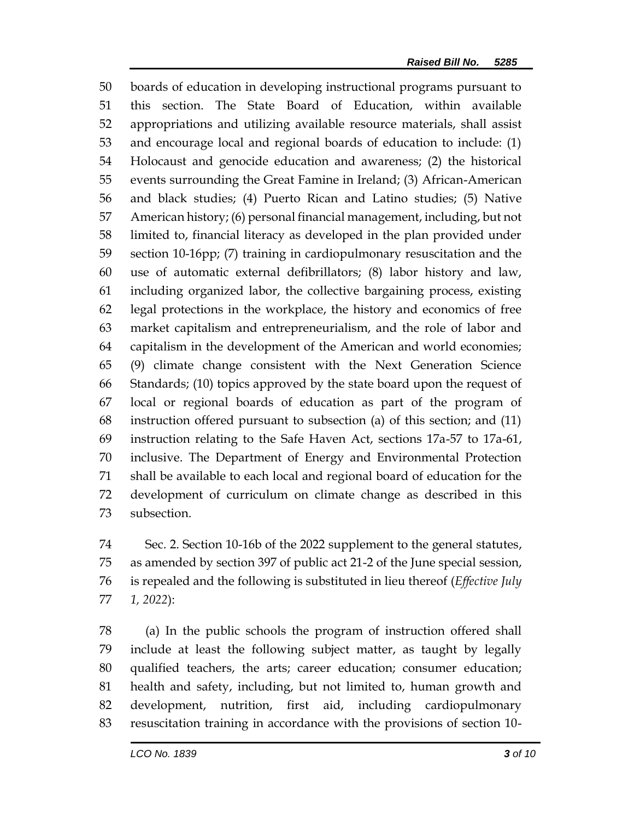boards of education in developing instructional programs pursuant to this section. The State Board of Education, within available appropriations and utilizing available resource materials, shall assist and encourage local and regional boards of education to include: (1) Holocaust and genocide education and awareness; (2) the historical events surrounding the Great Famine in Ireland; (3) African-American and black studies; (4) Puerto Rican and Latino studies; (5) Native American history; (6) personal financial management, including, but not limited to, financial literacy as developed in the plan provided under section 10-16pp; (7) training in cardiopulmonary resuscitation and the use of automatic external defibrillators; (8) labor history and law, including organized labor, the collective bargaining process, existing legal protections in the workplace, the history and economics of free market capitalism and entrepreneurialism, and the role of labor and capitalism in the development of the American and world economies; (9) climate change consistent with the Next Generation Science Standards; (10) topics approved by the state board upon the request of local or regional boards of education as part of the program of instruction offered pursuant to subsection (a) of this section; and (11) instruction relating to the Safe Haven Act, sections 17a-57 to 17a-61, inclusive. The Department of Energy and Environmental Protection shall be available to each local and regional board of education for the development of curriculum on climate change as described in this subsection.

 Sec. 2. Section 10-16b of the 2022 supplement to the general statutes, as amended by section 397 of public act 21-2 of the June special session, is repealed and the following is substituted in lieu thereof (*Effective July 1, 2022*):

 (a) In the public schools the program of instruction offered shall include at least the following subject matter, as taught by legally qualified teachers, the arts; career education; consumer education; health and safety, including, but not limited to, human growth and development, nutrition, first aid, including cardiopulmonary resuscitation training in accordance with the provisions of section 10-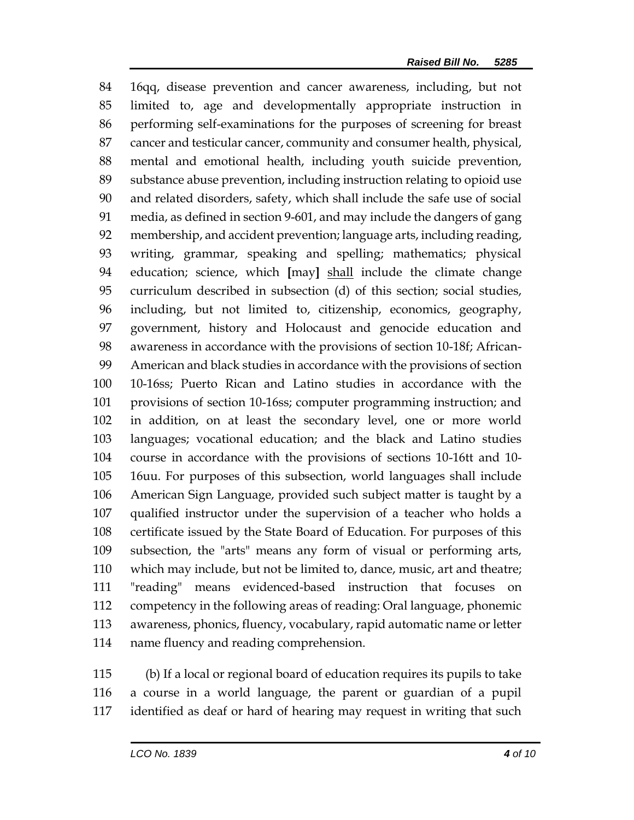16qq, disease prevention and cancer awareness, including, but not limited to, age and developmentally appropriate instruction in performing self-examinations for the purposes of screening for breast cancer and testicular cancer, community and consumer health, physical, mental and emotional health, including youth suicide prevention, substance abuse prevention, including instruction relating to opioid use and related disorders, safety, which shall include the safe use of social media, as defined in section 9-601, and may include the dangers of gang membership, and accident prevention; language arts, including reading, writing, grammar, speaking and spelling; mathematics; physical education; science, which **[**may**]** shall include the climate change curriculum described in subsection (d) of this section; social studies, including, but not limited to, citizenship, economics, geography, government, history and Holocaust and genocide education and awareness in accordance with the provisions of section 10-18f; African- American and black studies in accordance with the provisions of section 10-16ss; Puerto Rican and Latino studies in accordance with the provisions of section 10-16ss; computer programming instruction; and in addition, on at least the secondary level, one or more world languages; vocational education; and the black and Latino studies course in accordance with the provisions of sections 10-16tt and 10- 16uu. For purposes of this subsection, world languages shall include American Sign Language, provided such subject matter is taught by a qualified instructor under the supervision of a teacher who holds a certificate issued by the State Board of Education. For purposes of this subsection, the "arts" means any form of visual or performing arts, which may include, but not be limited to, dance, music, art and theatre; "reading" means evidenced-based instruction that focuses on competency in the following areas of reading: Oral language, phonemic awareness, phonics, fluency, vocabulary, rapid automatic name or letter name fluency and reading comprehension.

 (b) If a local or regional board of education requires its pupils to take a course in a world language, the parent or guardian of a pupil identified as deaf or hard of hearing may request in writing that such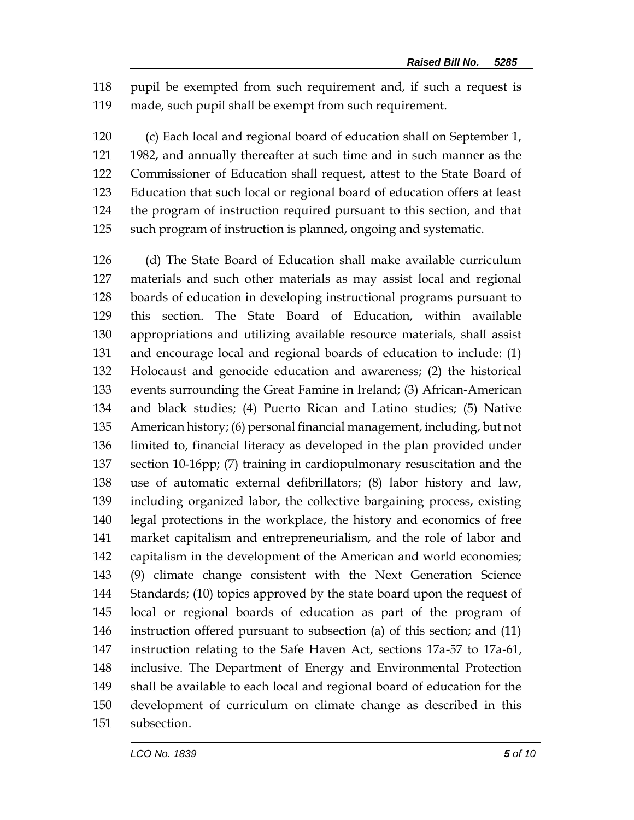pupil be exempted from such requirement and, if such a request is made, such pupil shall be exempt from such requirement.

 (c) Each local and regional board of education shall on September 1, 1982, and annually thereafter at such time and in such manner as the Commissioner of Education shall request, attest to the State Board of Education that such local or regional board of education offers at least the program of instruction required pursuant to this section, and that such program of instruction is planned, ongoing and systematic.

 (d) The State Board of Education shall make available curriculum materials and such other materials as may assist local and regional boards of education in developing instructional programs pursuant to this section. The State Board of Education, within available appropriations and utilizing available resource materials, shall assist and encourage local and regional boards of education to include: (1) Holocaust and genocide education and awareness; (2) the historical events surrounding the Great Famine in Ireland; (3) African-American and black studies; (4) Puerto Rican and Latino studies; (5) Native American history; (6) personal financial management, including, but not limited to, financial literacy as developed in the plan provided under section 10-16pp; (7) training in cardiopulmonary resuscitation and the use of automatic external defibrillators; (8) labor history and law, including organized labor, the collective bargaining process, existing legal protections in the workplace, the history and economics of free market capitalism and entrepreneurialism, and the role of labor and capitalism in the development of the American and world economies; (9) climate change consistent with the Next Generation Science Standards; (10) topics approved by the state board upon the request of local or regional boards of education as part of the program of instruction offered pursuant to subsection (a) of this section; and (11) instruction relating to the Safe Haven Act, sections 17a-57 to 17a-61, inclusive. The Department of Energy and Environmental Protection shall be available to each local and regional board of education for the development of curriculum on climate change as described in this subsection.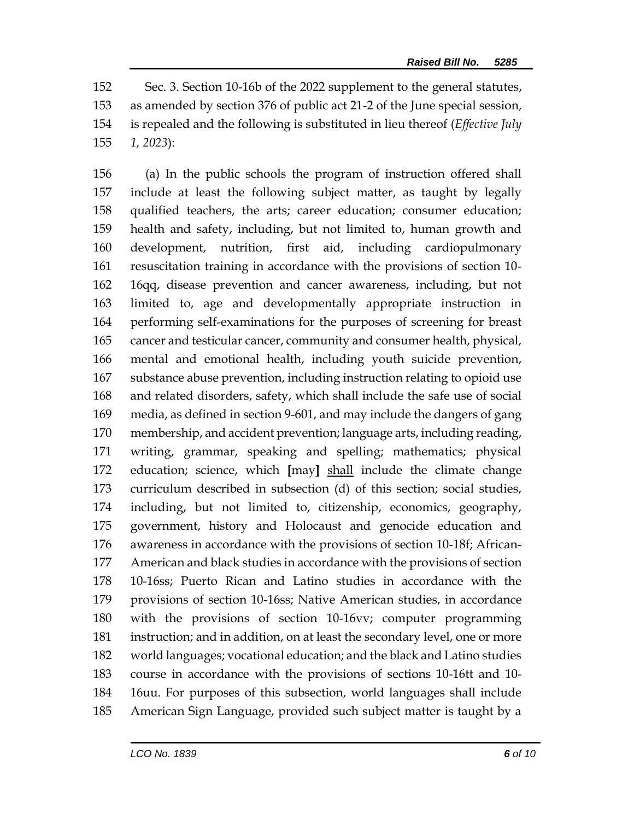Sec. 3. Section 10-16b of the 2022 supplement to the general statutes, as amended by section 376 of public act 21-2 of the June special session, is repealed and the following is substituted in lieu thereof (*Effective July 1, 2023*):

 (a) In the public schools the program of instruction offered shall include at least the following subject matter, as taught by legally qualified teachers, the arts; career education; consumer education; health and safety, including, but not limited to, human growth and development, nutrition, first aid, including cardiopulmonary resuscitation training in accordance with the provisions of section 10- 16qq, disease prevention and cancer awareness, including, but not limited to, age and developmentally appropriate instruction in performing self-examinations for the purposes of screening for breast cancer and testicular cancer, community and consumer health, physical, mental and emotional health, including youth suicide prevention, substance abuse prevention, including instruction relating to opioid use and related disorders, safety, which shall include the safe use of social media, as defined in section 9-601, and may include the dangers of gang membership, and accident prevention; language arts, including reading, writing, grammar, speaking and spelling; mathematics; physical education; science, which **[**may**]** shall include the climate change curriculum described in subsection (d) of this section; social studies, including, but not limited to, citizenship, economics, geography, government, history and Holocaust and genocide education and awareness in accordance with the provisions of section 10-18f; African- American and black studies in accordance with the provisions of section 10-16ss; Puerto Rican and Latino studies in accordance with the provisions of section 10-16ss; Native American studies, in accordance with the provisions of section 10-16vv; computer programming instruction; and in addition, on at least the secondary level, one or more world languages; vocational education; and the black and Latino studies course in accordance with the provisions of sections 10-16tt and 10- 16uu. For purposes of this subsection, world languages shall include American Sign Language, provided such subject matter is taught by a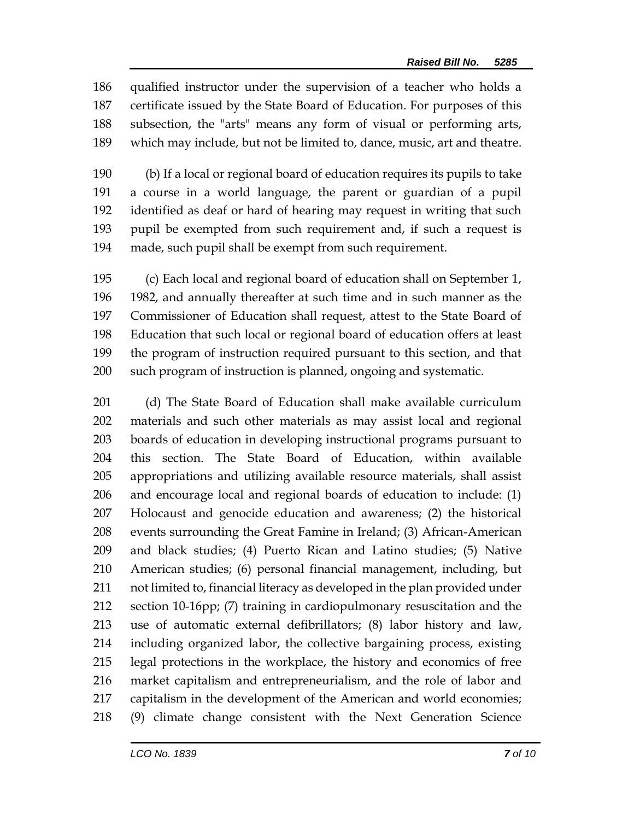qualified instructor under the supervision of a teacher who holds a certificate issued by the State Board of Education. For purposes of this subsection, the "arts" means any form of visual or performing arts, which may include, but not be limited to, dance, music, art and theatre.

 (b) If a local or regional board of education requires its pupils to take a course in a world language, the parent or guardian of a pupil identified as deaf or hard of hearing may request in writing that such pupil be exempted from such requirement and, if such a request is made, such pupil shall be exempt from such requirement.

 (c) Each local and regional board of education shall on September 1, 1982, and annually thereafter at such time and in such manner as the Commissioner of Education shall request, attest to the State Board of Education that such local or regional board of education offers at least the program of instruction required pursuant to this section, and that such program of instruction is planned, ongoing and systematic.

 (d) The State Board of Education shall make available curriculum materials and such other materials as may assist local and regional boards of education in developing instructional programs pursuant to this section. The State Board of Education, within available appropriations and utilizing available resource materials, shall assist and encourage local and regional boards of education to include: (1) Holocaust and genocide education and awareness; (2) the historical events surrounding the Great Famine in Ireland; (3) African-American and black studies; (4) Puerto Rican and Latino studies; (5) Native American studies; (6) personal financial management, including, but not limited to, financial literacy as developed in the plan provided under section 10-16pp; (7) training in cardiopulmonary resuscitation and the use of automatic external defibrillators; (8) labor history and law, including organized labor, the collective bargaining process, existing legal protections in the workplace, the history and economics of free market capitalism and entrepreneurialism, and the role of labor and capitalism in the development of the American and world economies; (9) climate change consistent with the Next Generation Science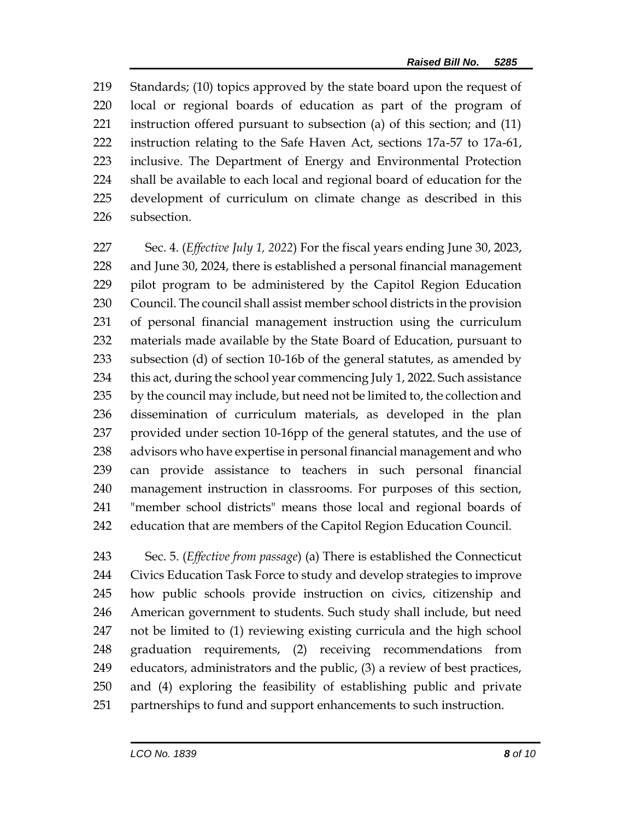Standards; (10) topics approved by the state board upon the request of local or regional boards of education as part of the program of instruction offered pursuant to subsection (a) of this section; and (11) instruction relating to the Safe Haven Act, sections 17a-57 to 17a-61, inclusive. The Department of Energy and Environmental Protection shall be available to each local and regional board of education for the development of curriculum on climate change as described in this subsection.

 Sec. 4. (*Effective July 1, 2022*) For the fiscal years ending June 30, 2023, and June 30, 2024, there is established a personal financial management pilot program to be administered by the Capitol Region Education Council. The council shall assist member school districts in the provision of personal financial management instruction using the curriculum materials made available by the State Board of Education, pursuant to subsection (d) of section 10-16b of the general statutes, as amended by 234 this act, during the school year commencing July 1, 2022. Such assistance 235 by the council may include, but need not be limited to, the collection and dissemination of curriculum materials, as developed in the plan provided under section 10-16pp of the general statutes, and the use of advisors who have expertise in personal financial management and who can provide assistance to teachers in such personal financial management instruction in classrooms. For purposes of this section, "member school districts" means those local and regional boards of education that are members of the Capitol Region Education Council.

 Sec. 5. (*Effective from passage*) (a) There is established the Connecticut Civics Education Task Force to study and develop strategies to improve how public schools provide instruction on civics, citizenship and American government to students. Such study shall include, but need not be limited to (1) reviewing existing curricula and the high school graduation requirements, (2) receiving recommendations from educators, administrators and the public, (3) a review of best practices, and (4) exploring the feasibility of establishing public and private partnerships to fund and support enhancements to such instruction.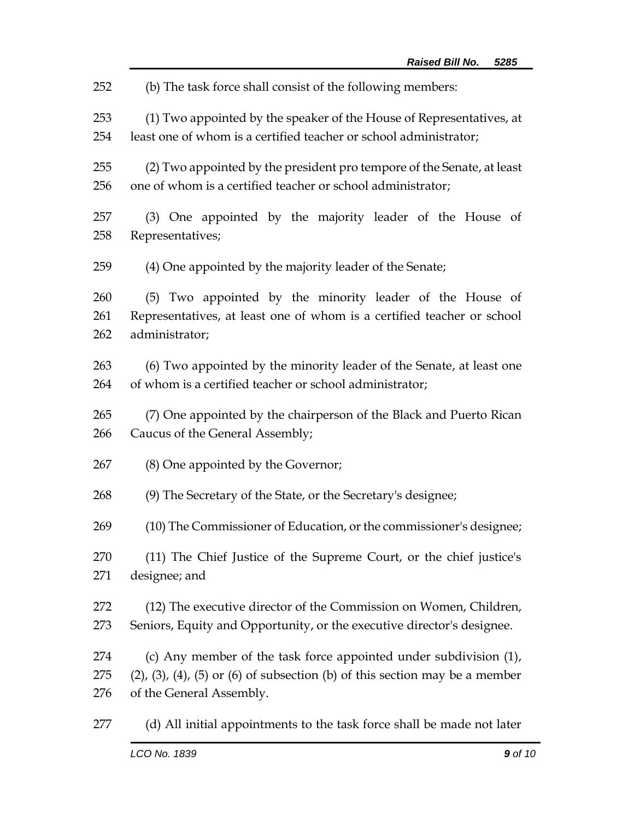(b) The task force shall consist of the following members: (1) Two appointed by the speaker of the House of Representatives, at least one of whom is a certified teacher or school administrator; (2) Two appointed by the president pro tempore of the Senate, at least one of whom is a certified teacher or school administrator; (3) One appointed by the majority leader of the House of Representatives; (4) One appointed by the majority leader of the Senate; (5) Two appointed by the minority leader of the House of Representatives, at least one of whom is a certified teacher or school administrator; (6) Two appointed by the minority leader of the Senate, at least one of whom is a certified teacher or school administrator; (7) One appointed by the chairperson of the Black and Puerto Rican Caucus of the General Assembly; (8) One appointed by the Governor; (9) The Secretary of the State, or the Secretary's designee; (10) The Commissioner of Education, or the commissioner's designee; (11) The Chief Justice of the Supreme Court, or the chief justice's designee; and (12) The executive director of the Commission on Women, Children, Seniors, Equity and Opportunity, or the executive director's designee. (c) Any member of the task force appointed under subdivision (1), (2), (3), (4), (5) or (6) of subsection (b) of this section may be a member of the General Assembly. (d) All initial appointments to the task force shall be made not later